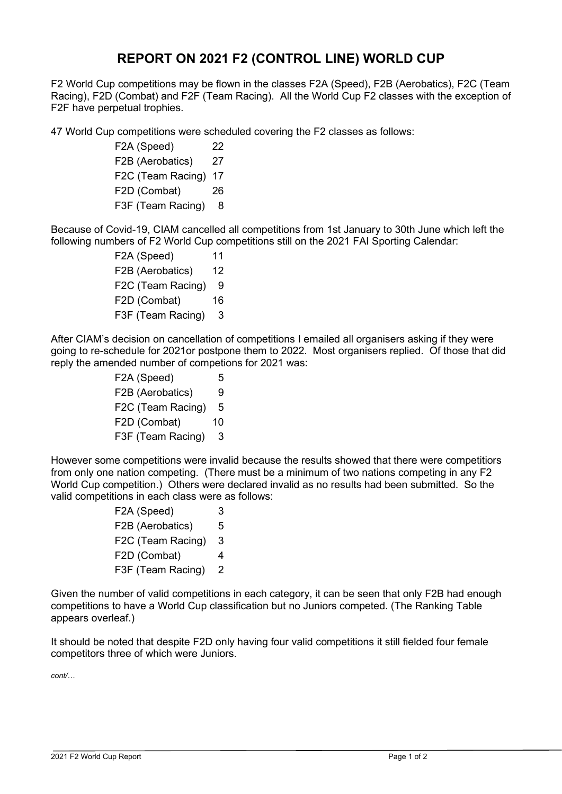## **REPORT ON 2021 F2 (CONTROL LINE) WORLD CUP**

F2 World Cup competitions may be flown in the classes F2A (Speed), F2B (Aerobatics), F2C (Team Racing), F2D (Combat) and F2F (Team Racing). All the World Cup F2 classes with the exception of F2F have perpetual trophies.

47 World Cup competitions were scheduled covering the F2 classes as follows:

F2A (Speed) 22 F2B (Aerobatics) 27 F2C (Team Racing) 17 F2D (Combat) 26 F3F (Team Racing) 8

Because of Covid-19, CIAM cancelled all competitions from 1st January to 30th June which left the following numbers of F2 World Cup competitions still on the 2021 FAI Sporting Calendar:

> F<sub>2</sub>A (Speed) 11 F2B (Aerobatics) 12 F<sub>2</sub>C (Team Racing) 9 F2D (Combat) 16 F3F (Team Racing) 3

After CIAM's decision on cancellation of competitions I emailed all organisers asking if they were going to re-schedule for 2021or postpone them to 2022. Most organisers replied. Of those that did reply the amended number of competions for 2021 was:

| F2A (Speed)       | 5  |
|-------------------|----|
| F2B (Aerobatics)  | 9  |
| F2C (Team Racing) | 5  |
| F2D (Combat)      | 10 |
| F3F (Team Racing) | 3  |

However some competitions were invalid because the results showed that there were competitiors from only one nation competing. (There must be a minimum of two nations competing in any F2 World Cup competition.) Others were declared invalid as no results had been submitted. So the valid competitions in each class were as follows:

| F2A (Speed)       | 3 |
|-------------------|---|
| F2B (Aerobatics)  | 5 |
| F2C (Team Racing) | 3 |
| F2D (Combat)      | 4 |
| F3F (Team Racing) | 2 |

Given the number of valid competitions in each category, it can be seen that only F2B had enough competitions to have a World Cup classification but no Juniors competed. (The Ranking Table appears overleaf.)

It should be noted that despite F2D only having four valid competitions it still fielded four female competitors three of which were Juniors.

*cont/…*